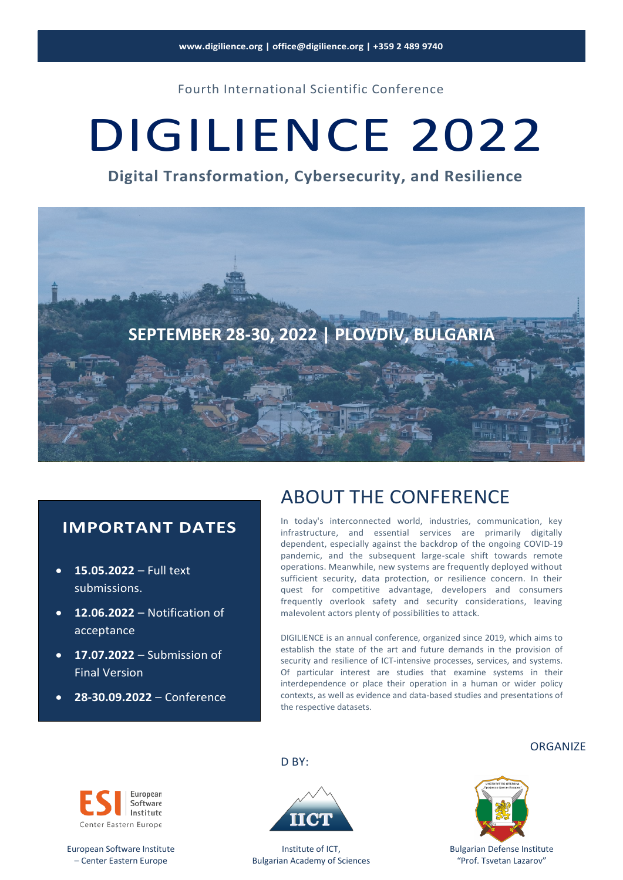Fourth International Scientific Conference

# DIGILIENCE 2022

**Digital Transformation, Cybersecurity, and Resilience**



#### **IMPORTANT DATES**

- **15.05.2022** Full text submissions.
- **12.06.2022** Notification of acceptance
- **17.07.2022** Submission of Final Version
- **28-30.09.2022** Conference

### ABOUT THE CONFERENCE

In today's interconnected world, industries, communication, key infrastructure, and essential services are primarily digitally dependent, especially against the backdrop of the ongoing COVID-19 pandemic, and the subsequent large-scale shift towards remote operations. Meanwhile, new systems are frequently deployed without sufficient security, data protection, or resilience concern. In their quest for competitive advantage, developers and consumers frequently overlook safety and security considerations, leaving malevolent actors plenty of possibilities to attack.

DIGILIENCE is an annual conference, organized since 2019, which aims to establish the state of the art and future demands in the provision of security and resilience of ICT-intensive processes, services, and systems. Of particular interest are studies that examine systems in their interdependence or place their operation in a human or wider policy contexts, as well as evidence and data-based studies and presentations of the respective datasets.



European Software Institute – Center Eastern Europe



D<sub>BY:</sub>

Institute of ICT, Bulgarian Academy of Sciences





Bulgarian Defense Institute "Prof. Tsvetan Lazarov"